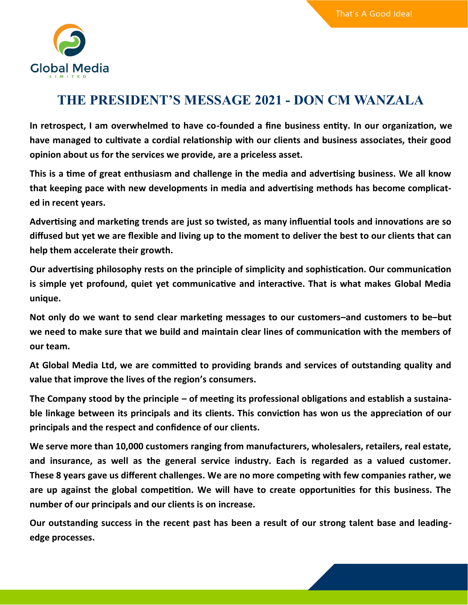

## **THE PRESIDENT'S MESSAGE 2021 - DON CM WANZALA**

**In retrospect, I am overwhelmed to have co-founded a fine business entity. In our organization, we have managed to cultivate a cordial relationship with our clients and business associates, their good opinion about us for the services we provide, are a priceless asset.**

**This is a time of great enthusiasm and challenge in the media and advertising business. We all know that keeping pace with new developments in media and advertising methods has become complicated in recent years.**

**Advertising and marketing trends are just so twisted, as many influential tools and innovations are so diffused but yet we are flexible and living up to the moment to deliver the best to our clients that can help them accelerate their growth.**

**Our advertising philosophy rests on the principle of simplicity and sophistication. Our communication is simple yet profound, quiet yet communicative and interactive. That is what makes Global Media unique.**

**Not only do we want to send clear marketing messages to our customers–and customers to be–but we need to make sure that we build and maintain clear lines of communication with the members of our team.** 

**At Global Media Ltd, we are committed to providing brands and services of outstanding quality and value that improve the lives of the region's consumers.**

**The Company stood by the principle – of meeting its professional obligations and establish a sustainable linkage between its principals and its clients. This conviction has won us the appreciation of our principals and the respect and confidence of our clients.**

**We serve more than 10,000 customers ranging from manufacturers, wholesalers, retailers, real estate, and insurance, as well as the general service industry. Each is regarded as a valued customer. These 8 years gave us different challenges. We are no more competing with few companies rather, we are up against the global competition. We will have to create opportunities for this business. The number of our principals and our clients is on increase.** 

**Our outstanding success in the recent past has been a result of our strong talent base and leadingedge processes.**